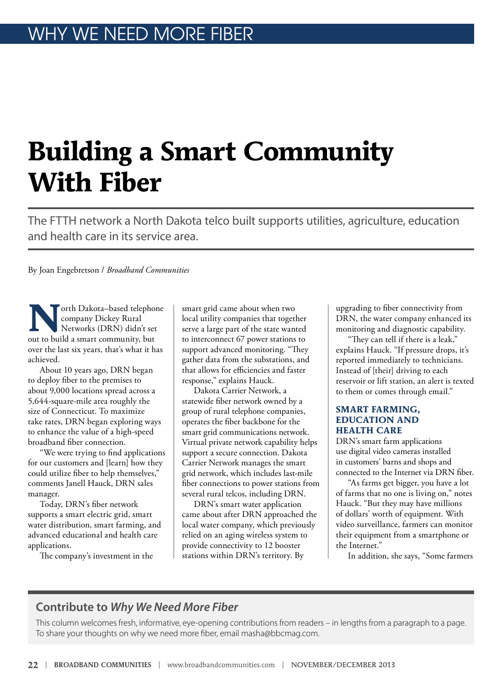## **Building a Smart Community With Fiber**

The FTTH network a North Dakota telco built supports utilities, agriculture, education and health care in its service area.

By Joan Engebretson / *Broadband Communities*

**N**orth Dakota–based telephone company Dickey Rural Networks (DRN) didn't set out to build a smart community, but over the last six years, that's what it has achieved.

About 10 years ago, DRN began to deploy fiber to the premises to about 9,000 locations spread across a 5,644-square-mile area roughly the size of Connecticut. To maximize take rates, DRN began exploring ways to enhance the value of a high-speed broadband fiber connection.

"We were trying to find applications for our customers and [learn] how they could utilize fiber to help themselves," comments Janell Hauck, DRN sales manager.

Today, DRN's fiber network supports a smart electric grid, smart water distribution, smart farming, and advanced educational and health care applications.

The company's investment in the

smart grid came about when two local utility companies that together serve a large part of the state wanted to interconnect 67 power stations to support advanced monitoring. "They gather data from the substations, and that allows for efficiencies and faster response," explains Hauck.

Dakota Carrier Network, a statewide fiber network owned by a group of rural telephone companies, operates the fiber backbone for the smart grid communications network. Virtual private network capability helps support a secure connection. Dakota Carrier Network manages the smart grid network, which includes last-mile fiber connections to power stations from several rural telcos, including DRN.

DRN's smart water application came about after DRN approached the local water company, which previously relied on an aging wireless system to provide connectivity to 12 booster stations within DRN's territory. By

upgrading to fiber connectivity from DRN, the water company enhanced its monitoring and diagnostic capability.

"They can tell if there is a leak," explains Hauck. "If pressure drops, it's reported immediately to technicians. Instead of [their] driving to each reservoir or lift station, an alert is texted to them or comes through email."

## **SMART FARMING, EDUCATION AND HEALTH CARE**

DRN's smart farm applications use digital video cameras installed in customers' barns and shops and connected to the Internet via DRN fiber.

"As farms get bigger, you have a lot of farms that no one is living on," notes Hauck. "But they may have millions of dollars' worth of equipment. With video surveillance, farmers can monitor their equipment from a smartphone or the Internet."

In addition, she says, "Some farmers

## **Contribute to** *Why We Need More Fiber*

This column welcomes fresh, informative, eye-opening contributions from readers – in lengths from a paragraph to a page. To share your thoughts on why we need more fiber, email masha@bbcmag.com.